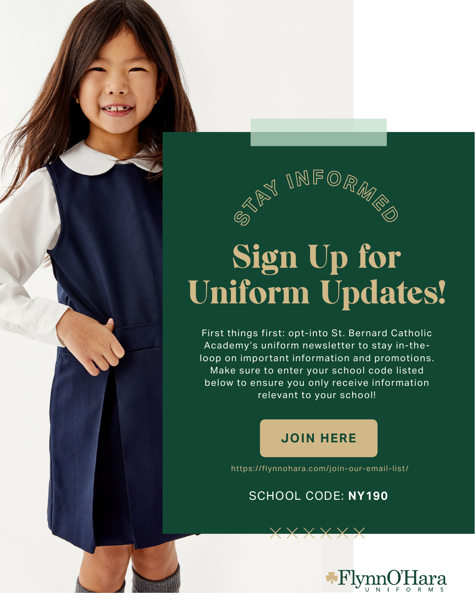

## Sign Up for Uniform Updates!

First things first: opt-into St. Bernard Catholic Academy's uniform newsletter to stay in-theloop on important information and promotions. Make sure to enter your school code listed below to ensure you only receive information relevant to your school!

## **[JOIN HERE](https://flynnohara.com/join-our-email-list/)**

https://flynnohara.com/join-our-email-list/

## SCHOOL CODE: **NY190**